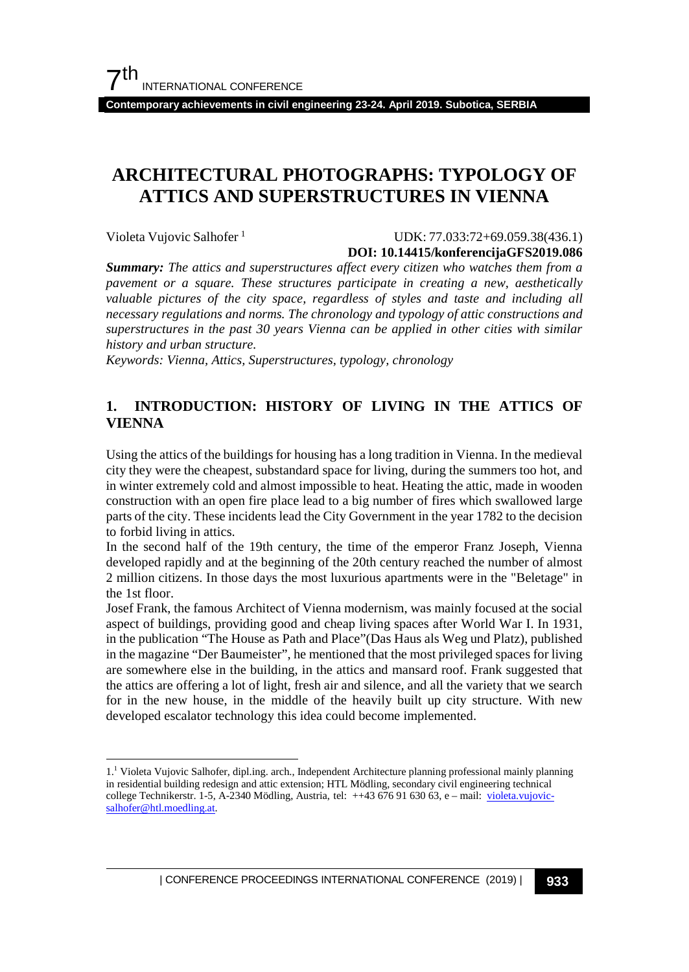**Contemporary achievements in civil engineering 23-24. April 2019. Subotica, SERBIA**

# **ARCHITECTURAL PHOTOGRAPHS: TYPOLOGY OF ATTICS AND SUPERSTRUCTURES IN VIENNA**

Violeta Vujovic Salhofer<sup>[1](#page-0-0)</sup>

#### UDK: 77.033:72+69.059.38(436.1) **DOI: 10.14415/konferencijaGFS2019.086**

*Summary: The attics and superstructures affect every citizen who watches them from a pavement or a square. These structures participate in creating a new, aesthetically valuable pictures of the city space, regardless of styles and taste and including all necessary regulations and norms. The chronology and typology of attic constructions and superstructures in the past 30 years Vienna can be applied in other cities with similar history and urban structure.*

*Keywords: Vienna, Attics, Superstructures, typology, chronology* 

#### **1. INTRODUCTION: HISTORY OF LIVING IN THE ATTICS OF VIENNA**

Using the attics of the buildings for housing has a long tradition in Vienna. In the medieval city they were the cheapest, substandard space for living, during the summers too hot, and in winter extremely cold and almost impossible to heat. Heating the attic, made in wooden construction with an open fire place lead to a big number of fires which swallowed large parts of the city. These incidents lead the City Government in the year 1782 to the decision to forbid living in attics.

In the second half of the 19th century, the time of the emperor Franz Joseph, Vienna developed rapidly and at the beginning of the 20th century reached the number of almost 2 million citizens. In those days the most luxurious apartments were in the "Beletage" in the 1st floor.

Josef Frank, the famous Architect of Vienna modernism, was mainly focused at the social aspect of buildings, providing good and cheap living spaces after World War I. In 1931, in the publication "The House as Path and Place"(Das Haus als Weg und Platz), published in the magazine "Der Baumeister", he mentioned that the most privileged spaces for living are somewhere else in the building, in the attics and mansard roof. Frank suggested that the attics are offering a lot of light, fresh air and silence, and all the variety that we search for in the new house, in the middle of the heavily built up city structure. With new developed escalator technology this idea could become implemented.

<span id="page-0-0"></span><sup>1.1</sup> Violeta Vujovic Salhofer, dipl.ing. arch., Independent Architecture planning professional mainly planning in residential building redesign and attic extension; HTL Mödling, secondary civil engineering technical college Technikerstr. 1-5, A-2340 Mödling, Austria, tel: ++43 676 91 630 63, e – mail: [violeta.vujovic](mailto:violeta.vujovic-salhofer@htl.moedling.at)[salhofer@htl.moedling.at.](mailto:violeta.vujovic-salhofer@htl.moedling.at)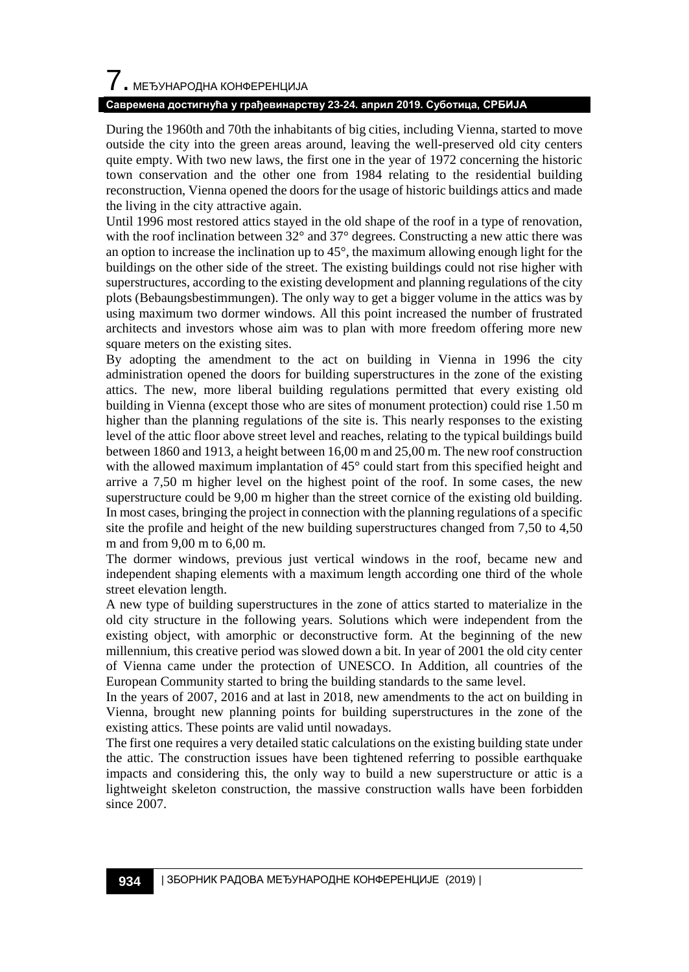# $\overline{\phantom{a}}$ . МЕЂУНАРОДНА КОНФЕРЕНЦИЈА

#### **Савремена достигнућа у грађевинарству 23-24. април 2019. Суботица, СРБИЈА**

During the 1960th and 70th the inhabitants of big cities, including Vienna, started to move outside the city into the green areas around, leaving the well-preserved old city centers quite empty. With two new laws, the first one in the year of 1972 concerning the historic town conservation and the other one from 1984 relating to the residential building reconstruction, Vienna opened the doors for the usage of historic buildings attics and made the living in the city attractive again.

Until 1996 most restored attics stayed in the old shape of the roof in a type of renovation, with the roof inclination between 32° and 37° degrees. Constructing a new attic there was an option to increase the inclination up to 45°, the maximum allowing enough light for the buildings on the other side of the street. The existing buildings could not rise higher with superstructures, according to the existing development and planning regulations of the city plots (Bebaungsbestimmungen). The only way to get a bigger volume in the attics was by using maximum two dormer windows. All this point increased the number of frustrated architects and investors whose aim was to plan with more freedom offering more new square meters on the existing sites.

By adopting the amendment to the act on building in Vienna in 1996 the city administration opened the doors for building superstructures in the zone of the existing attics. The new, more liberal building regulations permitted that every existing old building in Vienna (except those who are sites of monument protection) could rise 1.50 m higher than the planning regulations of the site is. This nearly responses to the existing level of the attic floor above street level and reaches, relating to the typical buildings build between 1860 and 1913, a height between 16,00 m and 25,00 m. The new roof construction with the allowed maximum implantation of 45° could start from this specified height and arrive a 7,50 m higher level on the highest point of the roof. In some cases, the new superstructure could be 9,00 m higher than the street cornice of the existing old building. In most cases, bringing the project in connection with the planning regulations of a specific site the profile and height of the new building superstructures changed from 7,50 to 4,50 m and from 9,00 m to 6,00 m.

The dormer windows, previous just vertical windows in the roof, became new and independent shaping elements with a maximum length according one third of the whole street elevation length.

A new type of building superstructures in the zone of attics started to materialize in the old city structure in the following years. Solutions which were independent from the existing object, with amorphic or deconstructive form. At the beginning of the new millennium, this creative period was slowed down a bit. In year of 2001 the old city center of Vienna came under the protection of UNESCO. In Addition, all countries of the European Community started to bring the building standards to the same level.

In the years of 2007, 2016 and at last in 2018, new amendments to the act on building in Vienna, brought new planning points for building superstructures in the zone of the existing attics. These points are valid until nowadays.

The first one requires a very detailed static calculations on the existing building state under the attic. The construction issues have been tightened referring to possible earthquake impacts and considering this, the only way to build a new superstructure or attic is a lightweight skeleton construction, the massive construction walls have been forbidden since 2007.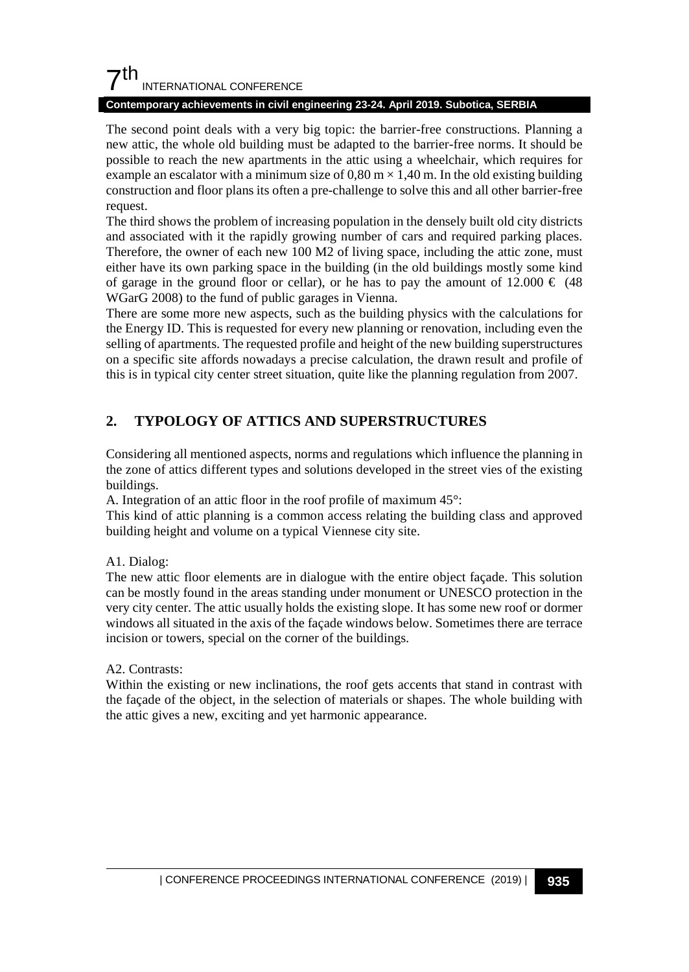## $7<sup>th</sup>$ INTERNATIONAL CONFERENCE

#### **Contemporary achievements in civil engineering 23-24. April 2019. Subotica, SERBIA**

The second point deals with a very big topic: the barrier-free constructions. Planning a new attic, the whole old building must be adapted to the barrier-free norms. It should be possible to reach the new apartments in the attic using a wheelchair, which requires for example an escalator with a minimum size of  $0.80 \text{ m} \times 1.40 \text{ m}$ . In the old existing building construction and floor plans its often a pre-challenge to solve this and all other barrier-free request.

The third shows the problem of increasing population in the densely built old city districts and associated with it the rapidly growing number of cars and required parking places. Therefore, the owner of each new 100 M2 of living space, including the attic zone, must either have its own parking space in the building (in the old buildings mostly some kind of garage in the ground floor or cellar), or he has to pay the amount of  $12.000 \in (48$ WGarG 2008) to the fund of public garages in Vienna.

There are some more new aspects, such as the building physics with the calculations for the Energy ID. This is requested for every new planning or renovation, including even the selling of apartments. The requested profile and height of the new building superstructures on a specific site affords nowadays a precise calculation, the drawn result and profile of this is in typical city center street situation, quite like the planning regulation from 2007.

## **2. TYPOLOGY OF ATTICS AND SUPERSTRUCTURES**

Considering all mentioned aspects, norms and regulations which influence the planning in the zone of attics different types and solutions developed in the street vies of the existing buildings.

A. Integration of an attic floor in the roof profile of maximum 45°:

This kind of attic planning is a common access relating the building class and approved building height and volume on a typical Viennese city site.

A1. Dialog:

The new attic floor elements are in dialogue with the entire object façade. This solution can be mostly found in the areas standing under monument or UNESCO protection in the very city center. The attic usually holds the existing slope. It has some new roof or dormer windows all situated in the axis of the façade windows below. Sometimes there are terrace incision or towers, special on the corner of the buildings.

A2. Contrasts:

Within the existing or new inclinations, the roof gets accents that stand in contrast with the façade of the object, in the selection of materials or shapes. The whole building with the attic gives a new, exciting and yet harmonic appearance.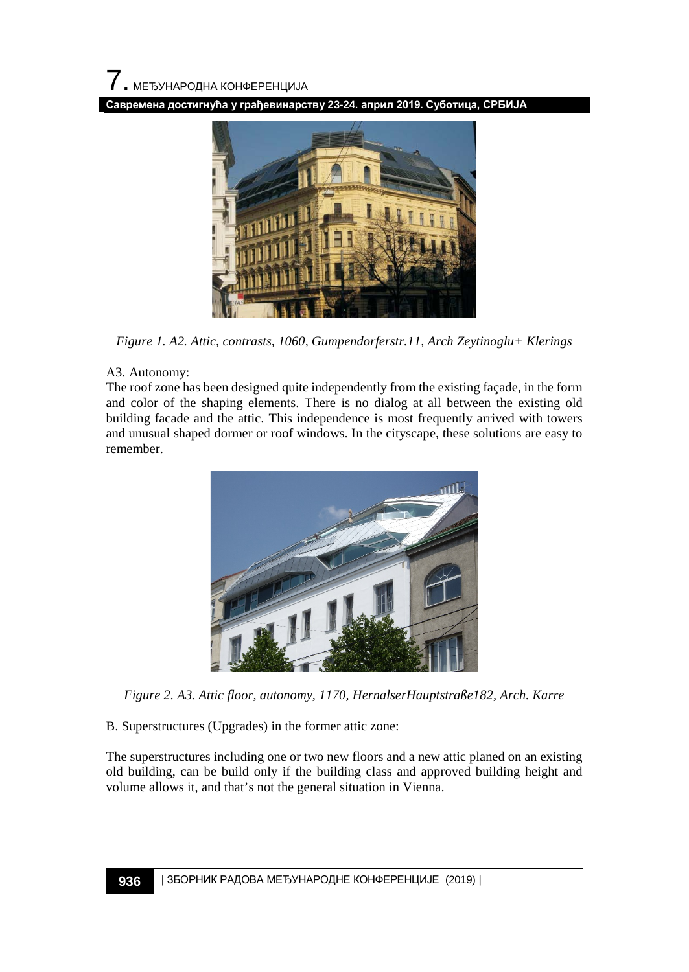**Савремена достигнућа у грађевинарству 23-24. април 2019. Суботица, СРБИЈА**



*Figure 1. A2. Attic, contrasts, 1060, Gumpendorferstr.11, Arch Zeytinoglu+ Klerings*

#### A3. Autonomy:

The roof zone has been designed quite independently from the existing façade, in the form and color of the shaping elements. There is no dialog at all between the existing old building facade and the attic. This independence is most frequently arrived with towers and unusual shaped dormer or roof windows. In the cityscape, these solutions are easy to remember.



*Figure 2. A3. Attic floor, autonomy, 1170, HernalserHauptstraße182, Arch. Karre*

B. Superstructures (Upgrades) in the former attic zone:

The superstructures including one or two new floors and a new attic planed on an existing old building, can be build only if the building class and approved building height and volume allows it, and that's not the general situation in Vienna.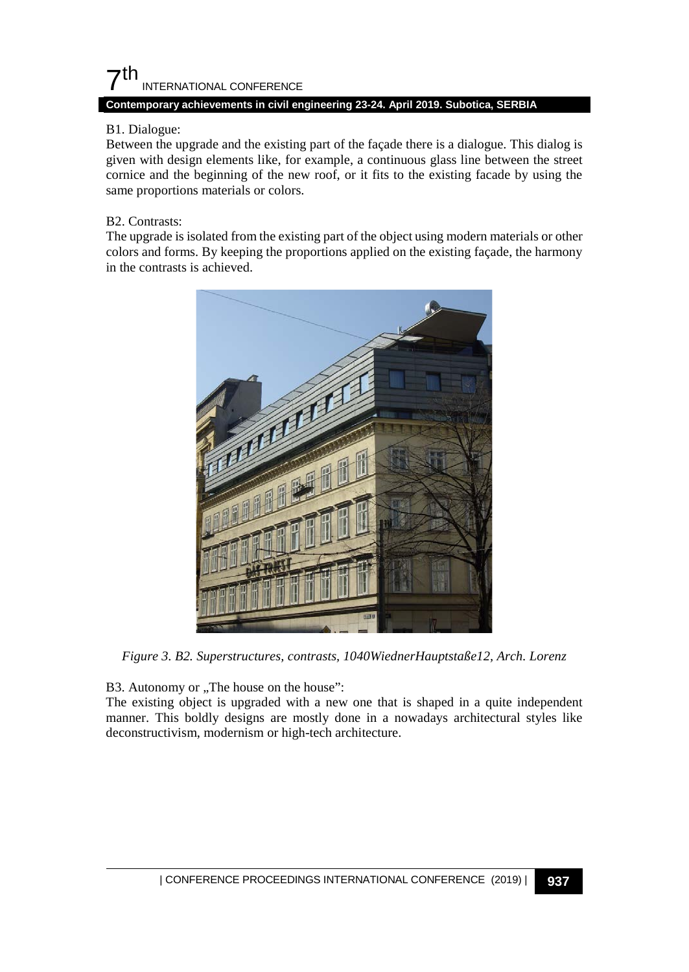## $7<sup>th</sup>$ INTERNATIONAL CONFERENCE

#### **Contemporary achievements in civil engineering 23-24. April 2019. Subotica, SERBIA**

#### B1. Dialogue:

Between the upgrade and the existing part of the façade there is a dialogue. This dialog is given with design elements like, for example, a continuous glass line between the street cornice and the beginning of the new roof, or it fits to the existing facade by using the same proportions materials or colors.

#### B2. Contrasts:

The upgrade is isolated from the existing part of the object using modern materials or other colors and forms. By keeping the proportions applied on the existing façade, the harmony in the contrasts is achieved.



*Figure 3. B2. Superstructures, contrasts, 1040WiednerHauptstaße12, Arch. Lorenz*

B3. Autonomy or "The house on the house":

The existing object is upgraded with a new one that is shaped in a quite independent manner. This boldly designs are mostly done in a nowadays architectural styles like deconstructivism, modernism or high-tech architecture.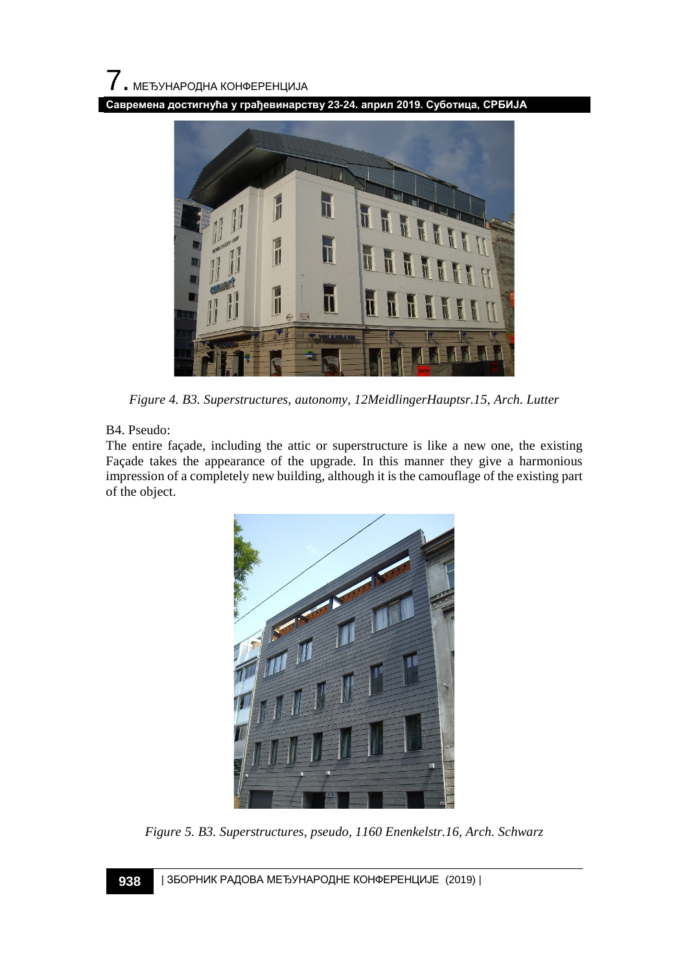**Савремена достигнућа у грађевинарству 23-24. април 2019. Суботица, СРБИЈА**



*Figure 4. B3. Superstructures, autonomy, 12MeidlingerHauptsr.15, Arch. Lutter*

#### B4. Pseudo:

The entire façade, including the attic or superstructure is like a new one, the existing Façade takes the appearance of the upgrade. In this manner they give a harmonious impression of a completely new building, although it is the camouflage of the existing part of the object.



*Figure 5. B3. Superstructures, pseudo, 1160 Enenkelstr.16, Arch. Schwarz*